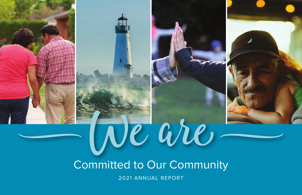# W Committed to Our Community We are<sup>V</sup>

2021 ANNUAL REPORT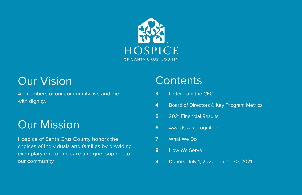

## Our Vision Contents

All members of our community live and die with dignity.

# Our Mission

Hospice of Santa Cruz County honors the choices of individuals and families by providing exemplary end-of-life care and grief support to our community.

- **3** Letter from the CEO
- **4** Board of Directors & Key Program Metrics
- **5** 2021 Financial Results
- **6** Awards & Recognition
- **7** What We Do
- **8** How We Serve
- **9** Donors: July 1, 2020 June 30, 2021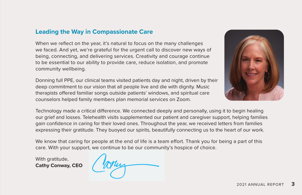### **Leading the Way in Compassionate Care**

When we reflect on the year, it's natural to focus on the many challenges we faced. And yet, we're grateful for the urgent call to discover new ways of being, connecting, and delivering services. Creativity and courage continue to be essential to our ability to provide care, reduce isolation, and promote community wellbeing.

Donning full PPE, our clinical teams visited patients day and night, driven by their deep commitment to our vision that all people live and die with dignity. Music therapists offered familiar songs outside patients' windows, and spiritual care counselors helped family members plan memorial services on Zoom.



Technology made a critical difference. We connected deeply and personally, using it to begin healing our grief and losses. Telehealth visits supplemented our patient and caregiver support, helping families gain confidence in caring for their loved ones. Throughout the year, we received letters from families expressing their gratitude. They buoyed our spirits, beautifully connecting us to the heart of our work.

We know that caring for people at the end of life is a team effort. Thank you for being a part of this care. With your support, we continue to be our community's hospice of choice.

With gratitude, **Cathy Conway, CEO**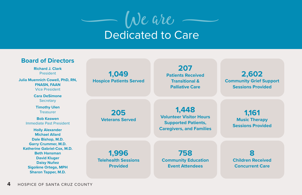

Dedicated to Care

#### **Board of Directors**

**Richard J. Clark** President

**Julia Muennich Cowell, PhD, RN, FNASN, FAAN** Vice President

> **Cara DeSimone Secretary**

**Timothy Ulen** Treasurer

**Bob Kaswen** Immediate Past President

**Holly Alexander Michael Allard Dale Bishop, M.D. Garry Crummer, M.D. Katherine Gabriel-Cox, M.D. Beth Hansman David Kluger Daisy Nuñez Sigolène Ortega, MPH Sharon Tapper, M.D.**

**1,049 Hospice Patients Served**

> **205 Veterans Served**

#### **207 Patients Received Transitional & Palliative Care**

**2,602 Community Grief Support Sessions Provided**

**1,448 Volunteer Visitor Hours Supported Patients, Caregivers, and Families**

**1,161 Music Therapy Sessions Provided**

**1,996 Telehealth Sessions Provided**

**758 Community Education Event Attendees**

**8 Children Received Concurrent Care**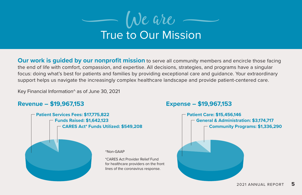

**Our work is guided by our nonprofit mission** to serve all community members and encircle those facing the end of life with comfort, compassion, and expertise. All decisions, strategies, and programs have a singular focus: doing what's best for patients and families by providing exceptional care and guidance. Your extraordinary support helps us navigate the increasingly complex healthcare landscape and provide patient-centered care.

Key Financial Information^ as of June 30, 2021

### **Revenue – \$19,967,153 Expense – \$19,967,153**



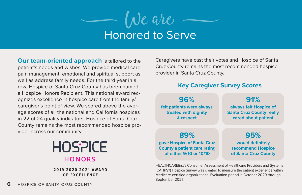

**Our team-oriented approach** is tailored to the patient's needs and wishes. We provide medical care, pain management, emotional and spiritual support as well as address family needs. For the third year in a row, Hospice of Santa Cruz County has been named a Hospice Honors Recipient. This national award recognizes excellence in hospice care from the family/ caregiver's point of view. We scored above the average scores of all the national and California hospices in 22 of 24 quality indicators. Hospice of Santa Cruz County remains the most recommended hospice provider across our community.



#### **2019 2020 2021 AWARD OF EXCELLENCE**

**6** HOSPICE OF SANTA CRUZ COUNTY

Caregivers have cast their votes and Hospice of Santa Cruz County remains the most recommended hospice provider in Santa Cruz County.

### **Key Caregiver Survey Scores**

**96% felt patients were always treated with dignity & respect**

**91% always felt Hospice of Santa Cruz County really cared about patient**

**89% gave Hospice of Santa Cruz County a patient care rating of either 9/10 or 10/10**

**95% would definitely recommend Hospice of Santa Cruz County**

HEALTHCAREfirst's Consumer Assessment of Healthcare Providers and Systems (CAHPS®) Hospice Survey was created to measure the patient experience within Medicare-certified organizations. Evaluation period is October 2020 through September 2021.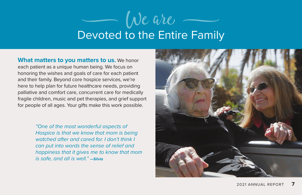# Devoted to the Entire Family  $We$  are

**What matters to you matters to us.** We honor each patient as a unique human being. We focus on honoring the wishes and goals of care for each patient and their family. Beyond core hospice services, we're here to help plan for future healthcare needs, providing palliative and comfort care, concurrent care for medically fragile children, music and pet therapies, and grief support for people of all ages. Your gifts make this work possible.

> *"One of the most wonderful aspects of Hospice is that we know that mom is being watched after and cared for. I don't think I can put into words the sense of relief and happiness that it gives me to know that mom is safe, and all is well." —Silvia*

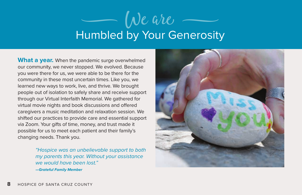# Humbled by Your Generosity De are

**What a year.** When the pandemic surge overwhelmed our community, we never stopped. We evolved. Because you were there for us, we were able to be there for the community in these most uncertain times. Like you, we learned new ways to work, live, and thrive. We brought people out of isolation to safely share and receive support through our Virtual Interfaith Memorial. We gathered for virtual movie nights and book discussions and offered caregivers a music meditation and relaxation session. We shifted our practices to provide care and essential support via Zoom. Your gifts of time, money, and trust made it possible for us to meet each patient and their family's changing needs. Thank you.

> *"Hospice was an unbelievable support to both my parents this year. Without your assistance we would have been lost." —Grateful Family Member*

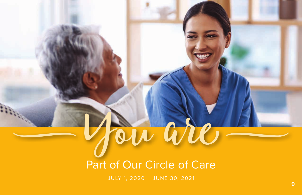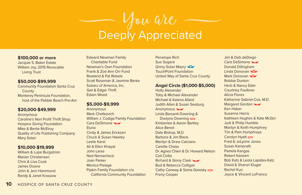### $\overline{\phantom{a}}$ Deeply Appreciated You are

#### **\$100,000 or more**

Jacquie S. Baker Estate William Joy, 2015 Revocable Living Trust

#### **\$50,000-\$99,999**

Community Foundation Santa Cruz **County** Monterey Peninsula Foundation, host of the Pebble Beach Pro-Am

#### **\$20,000-\$49,999**

Anonymous Caroline's Non Profit Thrift Shop Hospice Giving Foundation Mike & Bertie McElroy Quality of Life Publishing Company Mary Solari

#### **\$10,000-\$19,999**

William & Lupe Burgstrom Marian Christensen Chris & Lisa Cook James Doane John & Jerri Hammond Randy & Janet Krassow

Edward Newman Family Charitable Fund Newman's Own Foundation Frank & Zoe Ann Orr Fund Rowland & Pat Rebele Scott Roseman & Jasmine Berke Subaru of America, Inc. Gail & Edgar Thrift Edwin Wood

#### **\$5,000-\$9,999**

Anonymous Mark Chetkovich William J. Codiga Family Foundation Cara DeSimone Eluna Cindy & James Ericksen Chuck & Susan Hawley Leslie Karst Ali & Ellen Khayat John Larse Ned Nemacheck Joan Parker Monica Pielage Pipkin Family Foundation c/o California Community Foundation Penelope Rich Sue Sogard Ginny Solari Mazry TouchPoint Foundation United Way of Santa Cruz County

#### **Angel Circle (\$1,000-\$5,000)**

Holly Alexander Toby & Michael Alexander Michael & Kalena Allard Judith Allen & Susan Seaburg Anonymous Linda Barsanti-Downing & Dwayne Downing Kimberlee & Aaron Bartley Alice Benet Dale Bishop, M.D. Barbara & Jim Black Marilyn & Drew Calciano Camille Chase Dr. Agnes Chien & Dr. Howard Nelson Ceil Cirillo Richard & Ginny Clark Bud & Rebecca Colligan Cathy Conway & Soma Goresky  $\implies$ Freny Cooper

Jim & Deb deDiego Cara DeSimone Donald Dillingham Linda Donovan Mark Donovan Robbie Dunton Herb & Nancy Eder Courtney Faulkner Alicia Flores Katherine Gabriel-Cox, M.D. Margaret Gordon Ken Haber Susanne Harris Kathleen Hughes & Kate McGirr Judi & Philip Humble Marilyn & Keith Humphrey Tim & Pam Humphreys Carolyn Hyatt  $\Rightarrow$ Fred & JoLynne Jones Susan Kamprath Pamela Kangas Robert Kaswen Bob Katz & Leola Lapides-Katz David & Sharon Kluger Rachel Kuo Joyce & Vincent LoFranco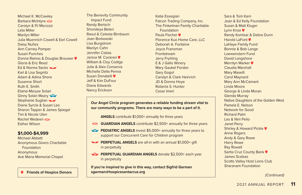Michael K. McCawley Barbara McIntyre Carolyn & PJ Mecozzi Leta Miller Marilyn Miller Julia Muennich Cowell & Earl Cowell Daisy Nuñez Ann Carney Pomper Susan Punches Donna Ramos & Douglas Brouwer ♥ Gloria & Eric Reed Ed & Norma Sacks Karl & Lisa Segnitz Adam & Adina Shore Susanne Short Ruth E. Smith Elaine-Maryse Solari Ginny Solari Mazry Stephanie Suglian Diane Syrcle & Susan Leo Sharon Tapper & James Spiegel Tim & Nicole Ulen Rachel Wedeen Esther Wilson

#### **\$1,000-\$4,999**

Michael Abbett Anonymous Givers Charitable **Foundation** Anonymous Ave Maria Memorial Chapel

The Benevity Community Impact Fund Randy Bertsch Shondeya Beteri Raoul & Celesta Birnbaum Joan Borkowski Lisa Burgstrom Marilyn Cahn Jennifer Cobas Janice M. Cockren William & Cloy Codiga Julie & Alex Conserva Michelle Della Penna Susan Donatelli Jeff & Kim DuFour Diane Edwards Nancy Erickson

Katie Essegian Falcon Trading Company, Inc. The Finkelman Family Charitable Foundation Paula Fischer ♥ Florence Kuo Home Care, LLC Deborah A. Fontaine Joyce Franzman Frontstream Jerry Fryhling E & J Gallo Winery Mary Gaukel Forster Gary Gogol Carolyn & Clark Heinrich JD & Donna Hoye Roberta S. Hunter Cesar Imeri

#### **Our Angel Circle program generates a reliable funding stream vital to our community programs. There are many ways to be a part of it.**

**ANGELS** contribute \$1,000+ annually for three years

- **GUARDIAN ANGELS** contribute \$2,500+ annually for three years
- **PEDIATRIC ANGELS** invest \$5,000+ annually for three years to support our Concurrent Care for Children program
- **PERPETUAL ANGELS** are all-in with an annual \$1,000+ gift in perpetuity
- **PERPETUAL GUARDIAN ANGELS** donate \$2,500+ each year in perpetuity

*(Continued)* **Friends of Hospice Donors If you're inspired to give in this way, contact Sigfrid Garman sgarman@hospicesantacruz.org**

Sara & Tom Karn Jean & Ed Kelly Foundation Susan & Matt Kluger Lynn Knox ♥ Randy Komisar & Debra Dunn Harold LaFont <sup>●</sup> LaHaye Family Fund Bonnie & Bob Lange Loewenstern Fund David Longshore Merrilyn Marker Claudia Marshall Mary Maselli Carol Maynard Mary Ann McCamant Linda Moore George & Linda Moran Glenda Murray Native Daughters of the Golden West Pamela E. Nelson Network for Good Richard Palm Les & Nini Pelio Janet Perry Shirley & Howard Pickle ♥ Anne Rogers Andy & Gary Rowe Harry Rowe Ray Rowell Santa Cruz County Bank ♥ James Scalsas Scotts Valley Host Lions Club Sharanam Foundation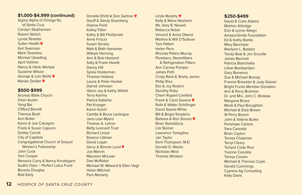#### **\$1,000-\$4,999 (continued)**

Sigma Alpha of Omega Nu of Santa Cruz Carolyn Stephensen Robert Stolich Lynda Streeter Sutter Health **V** 

Keri Swenson Mark Tarantino Michael Ulwelling April Vollmer Nancy & Hank Wempe Suzanne Wilson George & Lois Wolfe Marian Zeidler ♥

#### **\$500-\$999**

Aromas Bible Church Dean Austin Yong Bai Clifford Barrett Theresa Bush Ann Butler Karen & Joe Calcagno Frank & Susan Capurro Debby Carroll City of Capitola Congregational Church of Soquel Women's Fellowship John Cook Tom Cooper Renwick Curry & Nancy Knudegard Sudhir Dass – Perfect Lotus Fund Beverly Douglas Bob Early

Donelle Ehritt & Don Gartner ♥ Geoff & Sandy Eisenberg Dianne Field Kelley Filbin Kathy & Bill FitzGerald Anne Friscia Susan Gorsky Matt & Beth Hansman William Henning Ann & Bob Hestand Sally & Frank Hewitt Danny Hill Sylvia Holderman Thomas Holland Laurie & Peter Hunkel Darrell Johnson Glenn Joy & Kathy Willott Terry Karima Patrick Kelleher Pat Krueger Karen Kulvin Camille & Bruce Laclergue Jane Lear-Myers Thomas A. Lehrer Betty Leonard Trust Richard Linzer Eleanor Littman David Logan Gerry & Bonnie Lund Joe Marvin Maureen McLean Dee McRobie Michael W. Milward & Ellen Vogt Helen Mitchell Pam Moriarty

Linda Murphy ♥ Kelly & Maria Nesheim Ms. Amy R. Newell Rebecca Nolan Vincent & Anna Oberst Martina & Will O'Sullivan Tom Patten Helen Pera Rhonda Peters Murray Plumbers, Steamfitters & Refrigeration Fitters Ann Carney Pomper James Poth Cindy Ranii & Shelly James Philip Rice Elio & Joy Rodoni Dorothy Ruby Cherri Rupert-Canfield Frank & Carol Saveria Ruth & Walter Schillinger David Searle-White Bill & Brigid Simpkins Barbara & Ron Sissom Brian Standsbury Lila Steiner Lawrence Tartaglino Jan Taylor Kent Thompson, M.D. Donald D. Wacks Nicholas West Thomas Windsor

#### **\$250-\$499**

David & Carla Adams Mahlon Aldridge Don & Lynne Allegri AmazonSmile Foundation Ed & Kathy Banks Mary Bannister Marilynn L. Bastian Tandy Beal & Jon Scoville James Bennett Patricia Blanchette Lillian Bombardieri Gary Bonanno Sue & Michael Brandy Francie Brewster & Judy Galvan Bright Funds Member Donation Ann & Perry Brohmer Dr. and Mrs. John C. Brokaw Margaret Brose Mindi & Paul Broughton Michael & Elsie Brown W Perry Bryant John & Valerie Burke Penelope Carless Sara Cassady Brian Cayton Teresa Chapman Terryl Cleary Tamyra Code Rice Yvonne Coombs Teresa Corwin Michael & Theresa Coyle Gerald Cummings Cypress Ag Consulting Kelly Davis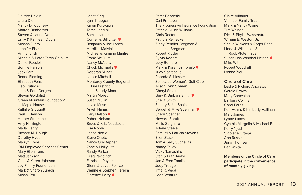Deirdre Devlin Laura Diem Nancy Dilloughery Sharon Dirnberger Steven & Laurie Dobler Larry & Kathleen Dubia Susana Dutro Jennifer Eisele Ann English Michele & Peter Estrin-Gelblum Daniel Facciola Bonnie Faraola Jack Farr Renne Fleming Elizabeth Fohs Deo Frutuoso Jean & Pete Gergen Steven Goldblatt Green Mountain Foundation/ Maple House Kathilie Gruggett Paul T. Hanson Harper Street Ink Amy Harrington Marla Henry Richard M. Hough Dorothy Hyde Marilyn Hyde IBM Employee Services Center Mary Ellen Irons Matt Jackson Chris & Karen Johnson Joy Family Foundation Mark & Sharon Jurach Susan Kerr

Janet King Lynn Krueger Karen Kurokawa Terrie Landini Sam Lazarakis Cornell & Bill Littell Benjamin & Ilse Lopes Merrill J. Malvini Michael & Kimarie Manfre Frank McGuire Nancy McNulty Chuck Michaelis Deborah Milner Janice Mitchell Monterey County Regional Fire District John & Judy Moore Martin Morey Susan Mullin Joyce Muse Aryeh Nanas Gary Nelson<sup>V</sup> Robert Nelson Bruce & Kris Neustadter Lisa Noble Lance Nottle Steve Oneto Nancy Orr-Depner Zane & Holly Ota Randy Parker Greg Pavlovich Elizabeth Payne Glenn & Joyce Pearce Dianne & Stephen Pereira Florence Perry

Peter Pozanski Carl Primavera The Progressive Insurance Foundation Patricia Quinn-Williams Chris Portor Patricia Reinecke Ziggy Rendler-Bregman & Jesse Bregman Robert Ridder Sylvia Rogers Lucy Romero Mark & Karen Sambrailo Judy Scarabello Rhonda Schlosser Seascape Women's Golf Club Alison Lynn Slymen Cheryl Smelt Gary & Barbara Smith Sheila Smith Shirley & Jim Spain Berdell & Mike Spellman  $\blacksquare$ Sherri Spencer Howard Spruit Malio Stagnaro Arlene Steele Samuel & Patricia Stevens Ellen Stuck Tom & Sally Suchevits Nancy Talley Vicky Tamashiro Stan & Fran Taylor Jan & Fred Tomlinson Judy Treuge Irma R. Vega Leon Ventura

Claire Vilhauer Vilhauer Family Trust Mark & Nancy Wainer Tim Wainer Dick & Phyllis Wasserstrom William B. Weston, Jr. Sheila Wickens & Roger Bach Linda J. Wilshusen & Rock Pfotenhauer Susan Lisa Winblad Nelson Mike Wittmann Robert Woodruff Donna Ziel

#### **Circle of Care**

Leslie & Richard Andrews Gerald Brown Mary Caravalho Barbara Collins Carol Ferris Ken Helms & Kimberly Hallinan Mary James Lynne Lundy Cynthia Margolin & Michael Bentzen Kerry Njust Sigolène Ortega Ann Russell Jana Thomsen Earl White

**Members of the Circle of Care participate in the convenience of monthly giving.**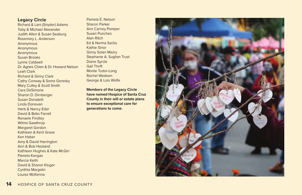#### **Legacy Circle**

Richard & Lani (Snyder) Adams Toby & Michael Alexander Judith Allen & Susan Seaburg Rosemary L. Anderson Anonymous Anonymous Anonymous Susan Brooks Lynne Caldwell Dr. Agnes Chien & Dr. Howard Nelson Leah Clark Richard & Ginny Clark Cathy Conway & Soma Goresky Mary Culley & Scott Smith Cara DeSimone Sharon D. Dirnberger Susan Donatelli Linda Donovan Herb & Nancy Eder David & Babs Farrell Ronaele Findley Wilma Gawthrop Margaret Gordon Kathleen & Kent Grave Ken Haber Amy & David Harrington Ann & Bob Hestand Kathleen Hughes & Kate McGirr Pamela Kangas Marcia Keith David & Sharon Kluger Cynthia Margolin Louise McKenna

Pamela E. Nelson Sharon Parker Ann Carney Pomper Susan Punches Alan Ritch Ed & Norma Sacks Kathie Sinor Ginny Solari Mazry Stephanie A. Suglian Trust Diane Syrcle Gail Thrift Monte Tudor-Long Rachel Wedeen George & Lois Wolfe

**Members of the Legacy Circle have named Hospice of Santa Cruz County in their will or estate plans to ensure exceptional care for generations to come.**

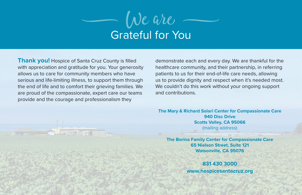

**Thank you!** Hospice of Santa Cruz County is filled with appreciation and gratitude for you. Your generosity allows us to care for community members who have serious and life-limiting illness, to support them through the end of life and to comfort their grieving families. We are proud of the compassionate, expert care our teams provide and the courage and professionalism they

demonstrate each and every day. We are thankful for the healthcare community, and their partnership, in referring patients to us for their end-of-life care needs, allowing us to provide dignity and respect when it's needed most. We couldn't do this work without your ongoing support and contributions.

**The Mary & Richard Solari Center for Compassionate Care 940 Disc Drive Scotts Valley, CA 95066** (mailing address)

**The Borina Family Center for Compassionate Care 65 Nielson Street, Suite 121 Watsonville, CA 95076** 

**831 430 3000**

**www.hospicesantacruz.org**